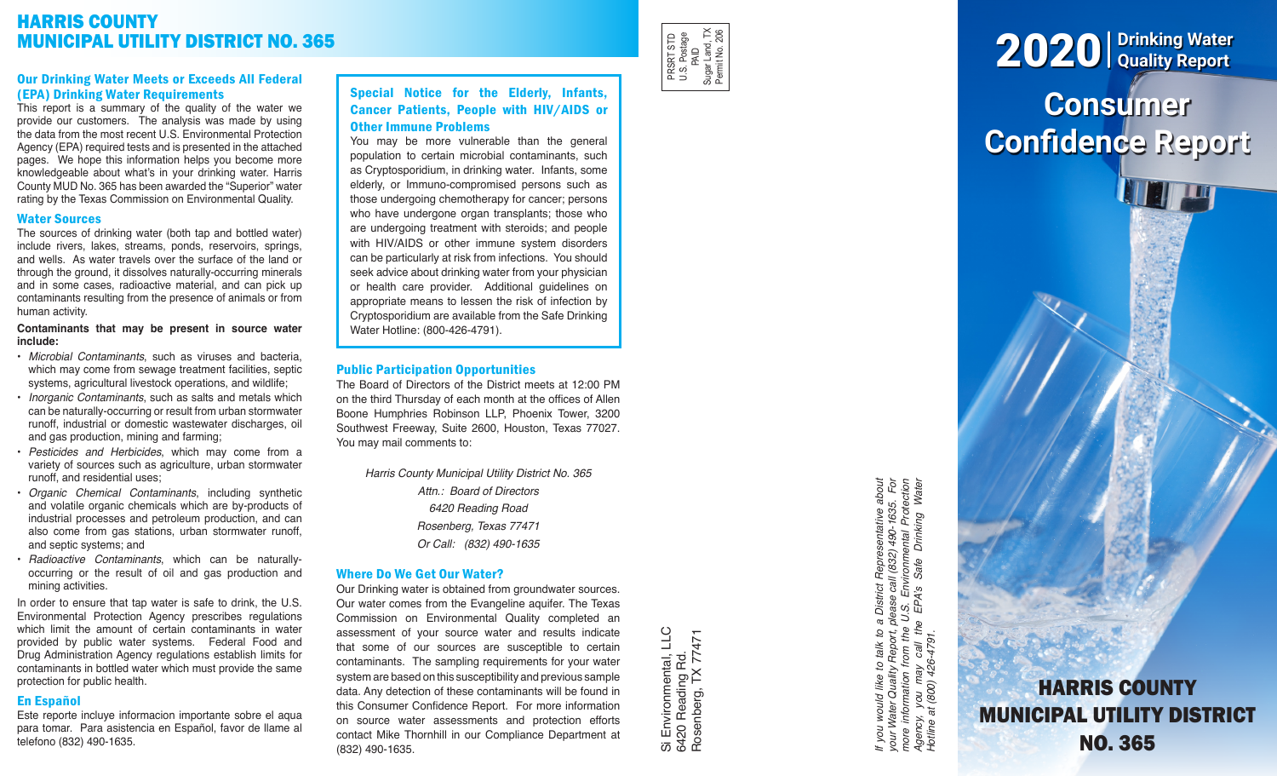# HARRIS COUNTY MUNICIPAL UTILITY DISTRICT NO. 365

# Our Drinking Water Meets or Exceeds All Federal (EPA) Drinking Water Requirements

This report is a summary of the quality of the water we provide our customers. The analysis was made by using the data from the most recent U.S. Environmental Protection Agency (EPA) required tests and is presented in the attached pages. We hope this information helps you become more knowledgeable about what's in your drinking water. Harris County MUD No. 365 has been awarded the "Superior" water rating by the Texas Commission on Environmental Quality.

### Water Sources

The sources of drinking water (both tap and bottled water) include rivers, lakes, streams, ponds, reservoirs, springs, and wells. As water travels over the surface of the land or through the ground, it dissolves naturally-occurring minerals and in some cases, radioactive material, and can pick up contaminants resulting from the presence of animals or from human activity.

#### **Contaminants that may be present in source water include:**

- *Microbial Contaminants*, such as viruses and bacteria, which may come from sewage treatment facilities, septic systems, agricultural livestock operations, and wildlife;
- *Inorganic Contaminants*, such as salts and metals which can be naturally-occurring or result from urban stormwater runoff, industrial or domestic wastewater discharges, oil and gas production, mining and farming;
- *Pesticides and Herbicides*, which may come from a variety of sources such as agriculture, urban stormwater runoff, and residential uses;
- *Organic Chemical Contaminants*, including synthetic and volatile organic chemicals which are by-products of industrial processes and petroleum production, and can also come from gas stations, urban stormwater runoff, and septic systems; and
- *Radioactive Contaminants*, which can be naturallyoccurring or the result of oil and gas production and mining activities.

In order to ensure that tap water is safe to drink, the U.S. Environmental Protection Agency prescribes regulations which limit the amount of certain contaminants in water provided by public water systems. Federal Food and Drug Administration Agency regulations establish limits for contaminants in bottled water which must provide the same protection for public health.

#### En Español

Este reporte incluye informacion importante sobre el aqua para tomar. Para asistencia en Español, favor de llame al telefono (832) 490-1635.

# Special Notice for the Elderly, Infants, Cancer Patients, People with HIV/AIDS or Other Immune Problems

You may be more vulnerable than the general population to certain microbial contaminants, such as Cryptosporidium, in drinking water. Infants, some elderly, or Immuno-compromised persons such as those undergoing chemotherapy for cancer; persons who have undergone organ transplants; those who are undergoing treatment with steroids; and people with HIV/AIDS or other immune system disorders can be particularly at risk from infections. You should seek advice about drinking water from your physician or health care provider. Additional guidelines on appropriate means to lessen the risk of infection by Cryptosporidium are available from the Safe Drinking Water Hotline: (800-426-4791).

# Public Participation Opportunities

The Board of Directors of the District meets at 12:00 PM on the third Thursday of each month at the offices of Allen Boone Humphries Robinson LLP, Phoenix Tower, 3200 Southwest Freeway, Suite 2600, Houston, Texas 77027. You may mail comments to:

*Harris County Municipal Utility District No. 365 Attn.: Board of Directors 6420 Reading Road Rosenberg, Texas 77471 Or Call: (832) 490-1635*

# Where Do We Get Our Water?

Our Drinking water is obtained from groundwater sources. Our water comes from the Evangeline aquifer. The Texas Commission on Environmental Quality completed an assessment of your source water and results indicate that some of our sources are susceptible to certain contaminants. The sampling requirements for your water system are based on this susceptibility and previous sample data. Any detection of these contaminants will be found in this Consumer Confidence Report. For more information on source water assessments and protection efforts contact Mike Thornhill in our Compliance Department at (832) 490-1635.

Si Environmental, LLC<br>6420 Reading Rd.<br>Rosenberg, TX 77471 Si Environmental, LLC Rosenberg, TX 77471 6420 Reading Rd.

PRSRT STD U.S. Postage PRSRT STD<br>U.S. Postage<br>Sugar Land, TX<br>Sugar Land, TX<br>Permit No. 206 Sugar Land, TX Permit No. 206

> If you would like to talk to a District Representative about<br>your Water Quality Report, please call (832) 490-1635. For<br>more information from the U.S. Environmental Protection<br>Agency, you may call the EPA's Safe Drinking W *If you would like to talk to a District Representative about your Water Quality Report, please call (832) 490-1635. For more information from the U.S. Environmental Protection Agency, you may call the EPA's Safe Drinking Water Hotline at (800) 426-4791.*

# **Consumer Confidence Report** 2020 **Drinking Water Quality Report**

HARRIS COUNTY MUNICIPAL UTILITY DISTRICT NO. 365